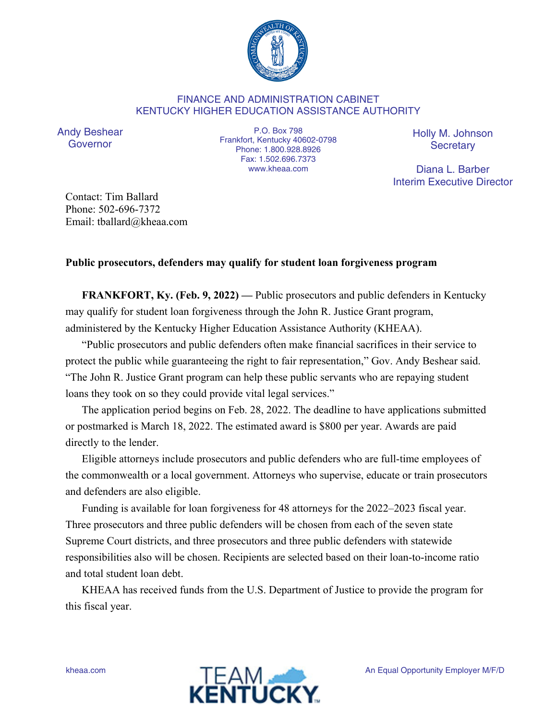

## FINANCE AND ADMINISTRATION CABINET KENTUCKY HIGHER EDUCATION ASSISTANCE AUTHORITY

Andy Beshear Governor

P.O. Box 798 Frankfort, Kentucky 40602-0798 Phone: 1.800.928.8926 Fax: 1.502.696.7373 www.kheaa.com

Holly M. Johnson **Secretary** 

Diana L. Barber Interim Executive Director

Contact: Tim Ballard Phone: 502-696-7372 Email: tballard@kheaa.com

## **Public prosecutors, defenders may qualify for student loan forgiveness program**

**FRANKFORT, Ky. (Feb. 9, 2022)** — Public prosecutors and public defenders in Kentucky may qualify for student loan forgiveness through the John R. Justice Grant program, administered by the Kentucky Higher Education Assistance Authority (KHEAA).

"Public prosecutors and public defenders often make financial sacrifices in their service to protect the public while guaranteeing the right to fair representation," Gov. Andy Beshear said. "The John R. Justice Grant program can help these public servants who are repaying student loans they took on so they could provide vital legal services."

The application period begins on Feb. 28, 2022. The deadline to have applications submitted or postmarked is March 18, 2022. The estimated award is \$800 per year. Awards are paid directly to the lender.

Eligible attorneys include prosecutors and public defenders who are full-time employees of the commonwealth or a local government. Attorneys who supervise, educate or train prosecutors and defenders are also eligible.

Funding is available for loan forgiveness for 48 attorneys for the 2022–2023 fiscal year. Three prosecutors and three public defenders will be chosen from each of the seven state Supreme Court districts, and three prosecutors and three public defenders with statewide responsibilities also will be chosen. Recipients are selected based on their loan-to-income ratio and total student loan debt.

KHEAA has received funds from the U.S. Department of Justice to provide the program for this fiscal year.